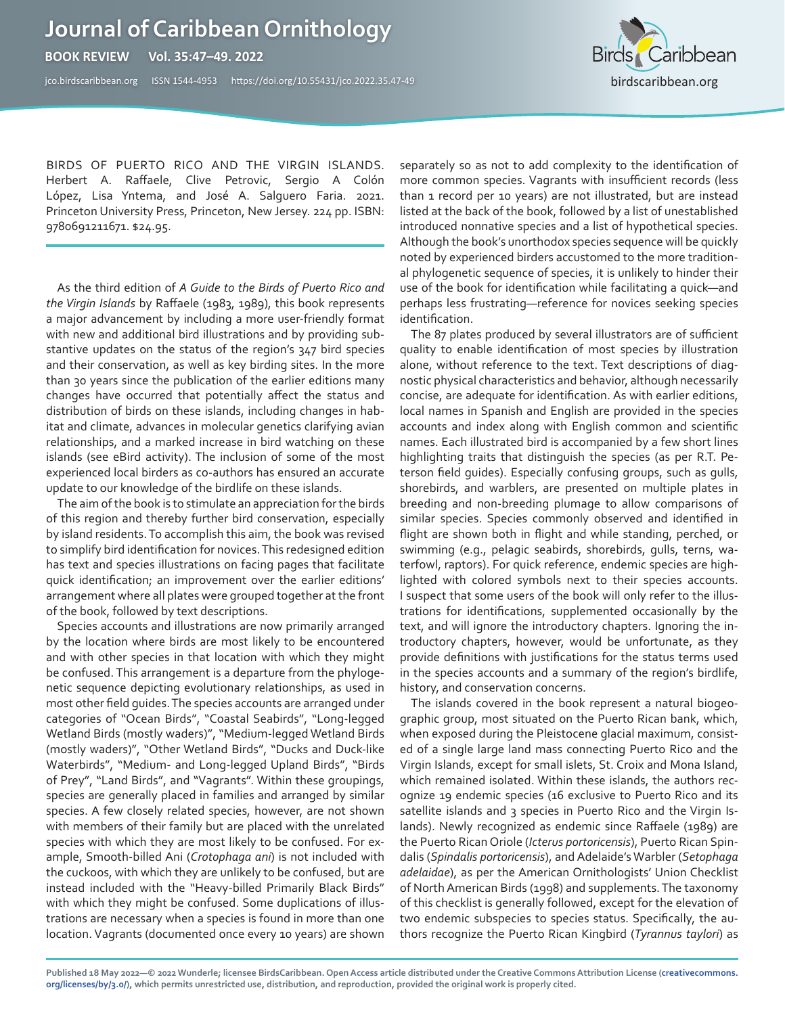## **Journal of Caribbean Ornithology**

**BOOK REVIEW Vol. 35:47–49. 2022** 

jco.birdscaribbean.org ISSN 1544-4953 https:/[/doi.org/10.55431/jco.2022.35.47-](http://)49



BIRDS OF PUERTO RICO AND THE VIRGIN ISLANDS. Herbert A. Raffaele, Clive Petrovic, Sergio A Colón López, Lisa Yntema, and José A. Salguero Faria. 2021. Princeton University Press, Princeton, New Jersey. 224 pp. ISBN: 9780691211671. \$24.95.

As the third edition of *A Guide to the Birds of Puerto Rico and the Virgin Islands* by Raffaele (1983, 1989), this book represents a major advancement by including a more user-friendly format with new and additional bird illustrations and by providing substantive updates on the status of the region's 347 bird species and their conservation, as well as key birding sites. In the more than 30 years since the publication of the earlier editions many changes have occurred that potentially affect the status and distribution of birds on these islands, including changes in habitat and climate, advances in molecular genetics clarifying avian relationships, and a marked increase in bird watching on these islands (see eBird activity). The inclusion of some of the most experienced local birders as co-authors has ensured an accurate update to our knowledge of the birdlife on these islands.

The aim of the book is to stimulate an appreciation for the birds of this region and thereby further bird conservation, especially by island residents. To accomplish this aim, the book was revised to simplify bird identification for novices. This redesigned edition has text and species illustrations on facing pages that facilitate quick identification; an improvement over the earlier editions' arrangement where all plates were grouped together at the front of the book, followed by text descriptions.

Species accounts and illustrations are now primarily arranged by the location where birds are most likely to be encountered and with other species in that location with which they might be confused. This arrangement is a departure from the phylogenetic sequence depicting evolutionary relationships, as used in most other field guides. The species accounts are arranged under categories of "Ocean Birds", "Coastal Seabirds", "Long-legged Wetland Birds (mostly waders)", "Medium-legged Wetland Birds (mostly waders)", "Other Wetland Birds", "Ducks and Duck-like Waterbirds", "Medium- and Long-legged Upland Birds", "Birds of Prey", "Land Birds", and "Vagrants". Within these groupings, species are generally placed in families and arranged by similar species. A few closely related species, however, are not shown with members of their family but are placed with the unrelated species with which they are most likely to be confused. For example, Smooth-billed Ani (*Crotophaga ani*) is not included with the cuckoos, with which they are unlikely to be confused, but are instead included with the "Heavy-billed Primarily Black Birds" with which they might be confused. Some duplications of illustrations are necessary when a species is found in more than one location. Vagrants (documented once every 10 years) are shown

separately so as not to add complexity to the identification of more common species. Vagrants with insufficient records (less than 1 record per 10 years) are not illustrated, but are instead listed at the back of the book, followed by a list of unestablished introduced nonnative species and a list of hypothetical species. Although the book's unorthodox species sequence will be quickly noted by experienced birders accustomed to the more traditional phylogenetic sequence of species, it is unlikely to hinder their use of the book for identification while facilitating a quick—and perhaps less frustrating—reference for novices seeking species identification.

The 87 plates produced by several illustrators are of sufficient quality to enable identification of most species by illustration alone, without reference to the text. Text descriptions of diagnostic physical characteristics and behavior, although necessarily concise, are adequate for identification. As with earlier editions, local names in Spanish and English are provided in the species accounts and index along with English common and scientific names. Each illustrated bird is accompanied by a few short lines highlighting traits that distinguish the species (as per R.T. Peterson field guides). Especially confusing groups, such as gulls, shorebirds, and warblers, are presented on multiple plates in breeding and non-breeding plumage to allow comparisons of similar species. Species commonly observed and identified in flight are shown both in flight and while standing, perched, or swimming (e.g., pelagic seabirds, shorebirds, gulls, terns, waterfowl, raptors). For quick reference, endemic species are highlighted with colored symbols next to their species accounts. I suspect that some users of the book will only refer to the illustrations for identifications, supplemented occasionally by the text, and will ignore the introductory chapters. Ignoring the introductory chapters, however, would be unfortunate, as they provide definitions with justifications for the status terms used in the species accounts and a summary of the region's birdlife, history, and conservation concerns.

The islands covered in the book represent a natural biogeographic group, most situated on the Puerto Rican bank, which, when exposed during the Pleistocene glacial maximum, consisted of a single large land mass connecting Puerto Rico and the Virgin Islands, except for small islets, St. Croix and Mona Island, which remained isolated. Within these islands, the authors recognize 19 endemic species (16 exclusive to Puerto Rico and its satellite islands and 3 species in Puerto Rico and the Virgin Islands). Newly recognized as endemic since Raffaele (1989) are the Puerto Rican Oriole (*Icterus portoricensis*), Puerto Rican Spindalis (*Spindalis portoricensis*), and Adelaide's Warbler (*Setophaga adelaidae*), as per the American Ornithologists' Union Checklist of North American Birds (1998) and supplements. The taxonomy of this checklist is generally followed, except for the elevation of two endemic subspecies to species status. Specifically, the authors recognize the Puerto Rican Kingbird (*Tyrannus taylori*) as

**Published 18 May 2022—© 2022 Wunderle; licensee BirdsCaribbean. Open Access article distributed under the Creative Commons Attribution License [\(creativecommons.](http://creativecommons.org/licenses/by/3.0/) [org/licenses/by/3.0/\)](http://creativecommons.org/licenses/by/3.0/), which permits unrestricted use, distribution, and reproduction, provided the original work is properly cited.**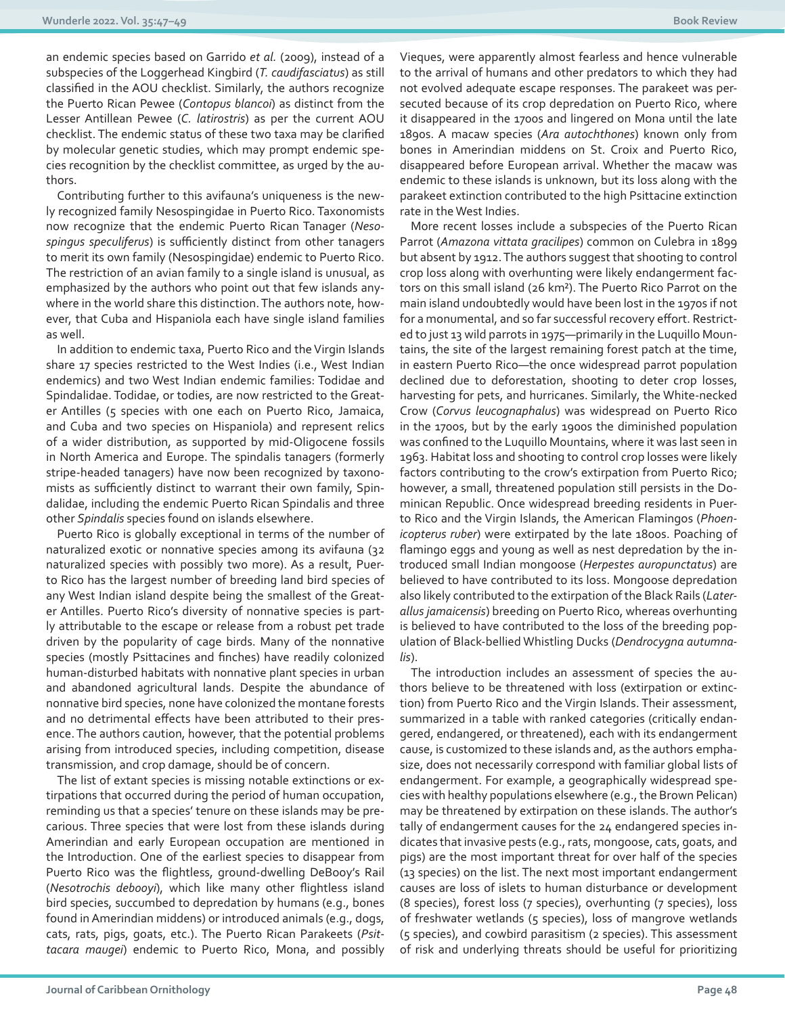an endemic species based on Garrido *et al.* (2009), instead of a subspecies of the Loggerhead Kingbird (*T. caudifasciatus*) as still classified in the AOU checklist. Similarly, the authors recognize the Puerto Rican Pewee (*Contopus blancoi*) as distinct from the Lesser Antillean Pewee (*C. latirostris*) as per the current AOU checklist. The endemic status of these two taxa may be clarified by molecular genetic studies, which may prompt endemic species recognition by the checklist committee, as urged by the authors.

Contributing further to this avifauna's uniqueness is the newly recognized family Nesospingidae in Puerto Rico. Taxonomists now recognize that the endemic Puerto Rican Tanager (*Nesospingus speculiferus*) is sufficiently distinct from other tanagers to merit its own family (Nesospingidae) endemic to Puerto Rico. The restriction of an avian family to a single island is unusual, as emphasized by the authors who point out that few islands anywhere in the world share this distinction. The authors note, however, that Cuba and Hispaniola each have single island families as well.

In addition to endemic taxa, Puerto Rico and the Virgin Islands share 17 species restricted to the West Indies (i.e., West Indian endemics) and two West Indian endemic families: Todidae and Spindalidae. Todidae, or todies, are now restricted to the Greater Antilles (5 species with one each on Puerto Rico, Jamaica, and Cuba and two species on Hispaniola) and represent relics of a wider distribution, as supported by mid-Oligocene fossils in North America and Europe. The spindalis tanagers (formerly stripe-headed tanagers) have now been recognized by taxonomists as sufficiently distinct to warrant their own family, Spindalidae, including the endemic Puerto Rican Spindalis and three other *Spindalis* species found on islands elsewhere.

Puerto Rico is globally exceptional in terms of the number of naturalized exotic or nonnative species among its avifauna (32 naturalized species with possibly two more). As a result, Puerto Rico has the largest number of breeding land bird species of any West Indian island despite being the smallest of the Greater Antilles. Puerto Rico's diversity of nonnative species is partly attributable to the escape or release from a robust pet trade driven by the popularity of cage birds. Many of the nonnative species (mostly Psittacines and finches) have readily colonized human-disturbed habitats with nonnative plant species in urban and abandoned agricultural lands. Despite the abundance of nonnative bird species, none have colonized the montane forests and no detrimental effects have been attributed to their presence. The authors caution, however, that the potential problems arising from introduced species, including competition, disease transmission, and crop damage, should be of concern.

The list of extant species is missing notable extinctions or extirpations that occurred during the period of human occupation, reminding us that a species' tenure on these islands may be precarious. Three species that were lost from these islands during Amerindian and early European occupation are mentioned in the Introduction. One of the earliest species to disappear from Puerto Rico was the flightless, ground-dwelling DeBooy's Rail (*Nesotrochis debooyi*), which like many other flightless island bird species, succumbed to depredation by humans (e.g., bones found in Amerindian middens) or introduced animals (e.g., dogs, cats, rats, pigs, goats, etc.). The Puerto Rican Parakeets (*Psittacara maugei*) endemic to Puerto Rico, Mona, and possibly

Vieques, were apparently almost fearless and hence vulnerable to the arrival of humans and other predators to which they had not evolved adequate escape responses. The parakeet was persecuted because of its crop depredation on Puerto Rico, where it disappeared in the 1700s and lingered on Mona until the late 1890s. A macaw species (*Ara autochthones*) known only from bones in Amerindian middens on St. Croix and Puerto Rico, disappeared before European arrival. Whether the macaw was endemic to these islands is unknown, but its loss along with the parakeet extinction contributed to the high Psittacine extinction rate in the West Indies.

More recent losses include a subspecies of the Puerto Rican Parrot (*Amazona vittata gracilipes*) common on Culebra in 1899 but absent by 1912. The authors suggest that shooting to control crop loss along with overhunting were likely endangerment factors on this small island (26 km²). The Puerto Rico Parrot on the main island undoubtedly would have been lost in the 1970s if not for a monumental, and so far successful recovery effort. Restricted to just 13 wild parrots in 1975—primarily in the Luquillo Mountains, the site of the largest remaining forest patch at the time, in eastern Puerto Rico—the once widespread parrot population declined due to deforestation, shooting to deter crop losses, harvesting for pets, and hurricanes. Similarly, the White-necked Crow (*Corvus leucognaphalus*) was widespread on Puerto Rico in the 1700s, but by the early 1900s the diminished population was confined to the Luquillo Mountains, where it was last seen in 1963. Habitat loss and shooting to control crop losses were likely factors contributing to the crow's extirpation from Puerto Rico; however, a small, threatened population still persists in the Dominican Republic. Once widespread breeding residents in Puerto Rico and the Virgin Islands, the American Flamingos (*Phoenicopterus ruber*) were extirpated by the late 1800s. Poaching of flamingo eggs and young as well as nest depredation by the introduced small Indian mongoose (*Herpestes auropunctatus*) are believed to have contributed to its loss. Mongoose depredation also likely contributed to the extirpation of the Black Rails (*Laterallus jamaicensis*) breeding on Puerto Rico, whereas overhunting is believed to have contributed to the loss of the breeding population of Black-bellied Whistling Ducks (*Dendrocygna autumnalis*).

The introduction includes an assessment of species the authors believe to be threatened with loss (extirpation or extinction) from Puerto Rico and the Virgin Islands. Their assessment, summarized in a table with ranked categories (critically endangered, endangered, or threatened), each with its endangerment cause, is customized to these islands and, as the authors emphasize, does not necessarily correspond with familiar global lists of endangerment. For example, a geographically widespread species with healthy populations elsewhere (e.g., the Brown Pelican) may be threatened by extirpation on these islands. The author's tally of endangerment causes for the 24 endangered species indicates that invasive pests (e.g., rats, mongoose, cats, goats, and pigs) are the most important threat for over half of the species (13 species) on the list. The next most important endangerment causes are loss of islets to human disturbance or development (8 species), forest loss (7 species), overhunting (7 species), loss of freshwater wetlands (5 species), loss of mangrove wetlands (5 species), and cowbird parasitism (2 species). This assessment of risk and underlying threats should be useful for prioritizing